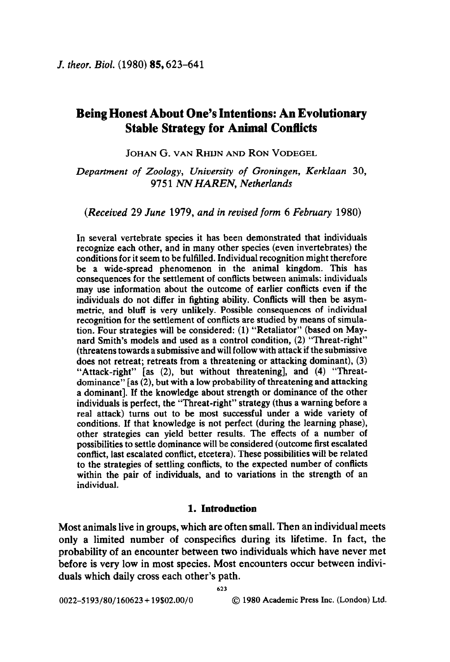# Being Honest About One's Intentions: An Evolutionary Stable Strategy for Animal Conflicts

JOHAN G. VAN RHIJN AND RON VODEGEL

Department of Zoology, University of Groningen, Kerklaan 30, 9751 NN HAREN, Netherlands

(Received 29 June 1979, and in revised form 6 February 1980)

In several vertebrate species it has been demonstrated that individuals recognize each other, and in many other species (even invertebrates) the conditions for it seem to be fulfilled. Individual recognition might therefore be a wide-spread phenomenon in the animal kingdom. This has consequences for the settlement of conflicts between animals: individuals may use information about the outcome of earlier conflicts even if the individuals do not differ in fighting ability. Conflicts will then be asymmetric, and bluff is very unlikely. Possible consequences of individual recognition for the settlement of conflicts are studied by means of simulation. Four strategies will be considered: (1) "Retaliator" (based on Maynard Smith's models and used as a control condition, (2) "Threat-right" (threatens towards a submissive and will follow with attack if the submissive does not retreat; retreats from a threatening or attacking dominant), (3) "Attack-right" [as (2), but without threatening], and (4) "Threatdominance" [as (2), but with a low probability of threatening and attacking a dominant]. If the knowledge about strength or dominance of the other individuals is perfect, the "Threat-right" strategy (thus a warning before a real attack) turns out to be most successful under a wide variety of conditions. If that knowledge is not perfect (during the learning phase), other strategies can yield better results. The effects of a number of possibilities to settle dominance will be considered (outcome first escalated conflict, last escalated conflict, etcetera). These possibilities will be related to the strategies of settling conflicts, to the expected number of conflicts within the pair of individuals, and to variations in the strength of an individual.

### 1. Introduction

Most animals live in groups, which are often small. Then an individual meets only a limited number of conspecifics during its lifetime. In fact, the probability of an encounter between two individuals which have never met before is very low in most species. Most encounters occur between individuals which daily cross each other's path.

623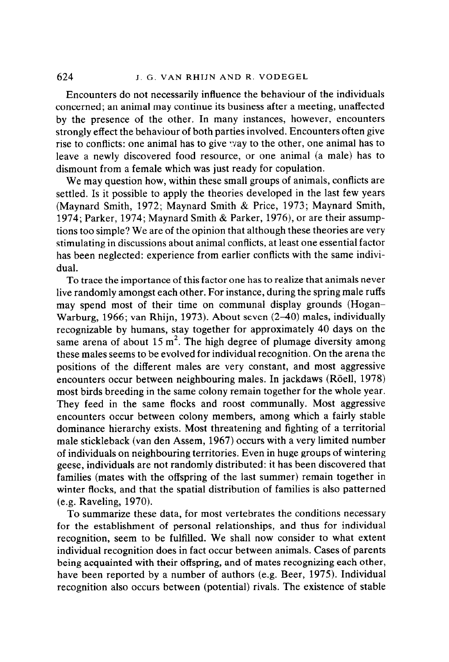Encounters do not necessarily influence the behaviour of the individuals concerned; an animal may continue its business after a meeting, unaffected by the presence of the other. In many instances, however, encounters strongly effect the behaviour of both parties involved. Encounters often give rise to conflicts: one animal has to give way to the other, one animal has to leave a newly discovered food resource, or one animal (a male) has to dismount from a female which was just ready for copulation.

We may question how, within these small groups of animals, conflicts are settled. Is it possible to apply the theories developed in the last few years (Maynard Smith, 1972; Maynard Smith & Price, 1973; Maynard Smith, 1974; Parker, 1974; Maynard Smith & Parker, 1976), or are their assumptions too simple? We are of the opinion that although these theories are very stimulating in discussions about animal conflicts, at least one essential factor has been neglected: experience from earlier conflicts with the same individual.

To trace the importance of this factor one has to realize that animals never live randomly amongst each other. For instance, during the spring male ruffs may spend most of their time on communal display grounds (Hogan-Warburg, 1966; van Rhijn, 1973). About seven (2-40) males, individually recognizable by humans, stay together for approximately 40 days on the same arena of about 15  $m^2$ . The high degree of plumage diversity among these males seems to be evolved for individual recognition. On the arena the positions of the different males are very constant, and most aggressive encounters occur between neighbouring males. In jackdaws (Röell, 1978) most birds breeding in the same colony remain together for the whole year. They feed in the same flocks and roost communally. Most aggressive encounters occur between colony members, among which a fairly stable dominance hierarchy exists. Most threatening and fighting of a territorial male stickleback (van den Assem, 1967) occurs with a very limited number of individuals on neighbouring territories. Even in huge groups of wintering geese, individuals are not randomly distributed: it has been discovered that families (mates with the offspring of the last summer) remain together in winter flocks, and that the spatial distribution of families is also patterned (e.g. Raveling, 1970).

To summarize these data, for most vertebrates the conditions necessary for the establishment of personal relationships, and thus for individual recognition, seem to be fulfilled. We shall now consider to what extent individual recognition does in fact occur between animals. Cases of parents being acquainted with their offspring, and of mates recognizing each other, have been reported by a number of authors (e.g. Beer, 1975). Individual recognition also occurs between (potential) rivals. The existence of stable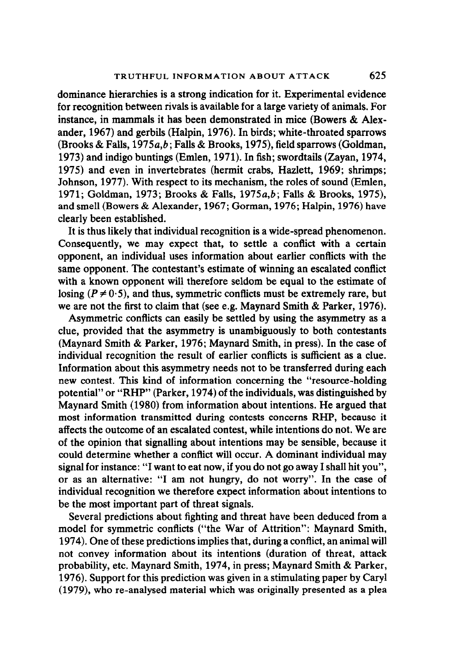dominance hierarchies is a strong indication for it. Experimental evidence for recognition between rivals is available for a large variety of animals, For instance, in mammals it has been demonstrated in mice (Bowers & Alexander, 1967) and gerbils (Halpin, 1976). In birds; white-throated sparrows (Brooks & Falls, 1975a,b; Falls & Brooks, 1975), field sparrows (Goldman, 1973) and indigo buntings (Emlen, 1971). In fish; swordtails (Zayan, 1974, 1975) and even in invertebrates (hermit crabs, Haxlett, 1969; shrimps; Johnson, 1977). With respect to its mechanism, the roles of sound (Emlen, 1971; Goldman, 1973; Brooks & Falls, 1975a,b; Falls & Brooks, 1975), and smell (Bowers & Alexander, 1967; Gorman, 1976; Halpin, 1976) have clearly been established.

It is thus likely that individual recognition is a wide-spread phenomenon. Consequently, we may expect that, to settle a conflict with a certain opponent, an individual uses information about earlier conflicts with the same opponent. The contestant's estimate of winning an escalated conflict with a known opponent will therefore seldom be equal to the estimate of losing ( $P \neq 0.5$ ), and thus, symmetric conflicts must be extremely rare, but we are not the first to claim that (see e.g. Maynard Smith & Parker, 1976).

Asymmetric conflicts can easily be settled by using the asymmetry as a clue, provided that the asymmetry is unambiguously to both contestants (Maynard Smith & Parker, 1976; Maynard Smith, in press). In the case of individual recognition the result of earlier conflicts is sufficient as a clue. Information about this asymmetry needs not to be transferred during each new contest. This kind of information concerning the "resource-holding potential" or "RHP" (Parker, 1974) of the individuals, was distinguished by Maynard Smith (1980) from information about intentions. He argued that most information transmitted during contests concerns RHP, because it affects the outcome of an escalated contest, while intentions do not. We are of the opinion that signalling about intentions may be sensible, because it could determine whether a conflict will occur. A dominant individual may signal for instance: "I want to eat now, if you do not go away I shall hit you", or as an alternative: "I am not hungry, do not worry". In the case of individual recognition we therefore expect information about intentions to be the most important part of threat signals.

Several predictions about fighting and threat have been deduced from a model for symmetric conflicts ("the War of Attrition": Maynard Smith, 1974). One of these predictions implies that, during a conflict, an animal will not convey information about its intentions (duration of threat, attack probability, etc. Maynard Smith, 1974, in press; Maynard Smith & Parker, 1976). Support for this prediction was given in a stimulating paper by Caryl (1979), who re-analysed material which was originally presented as a plea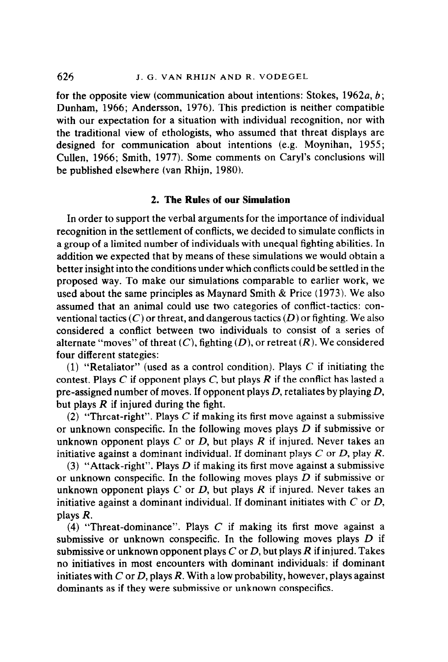for the opposite view (communication about intentions: Stokes, 1962a,  $b$ ; Dunham, 1966; Andersson, 1976). This prediction is neither compatible with our expectation for a situation with individual recognition, nor with the traditional view of ethologists, who assumed that threat displays are designed for communication about intentions (e.g. Moynihan, 1955; Cullen, 1966; Smith, 1977). Some comments on Caryl's conclusions will be published elsewhere (van Rhijn, 1980).

## 2. The Rules of our Simulation

In order to support the verbal arguments for the importance of individual recognition in the settlement of conflicts, we decided to simulate conflicts in a group of a limited number of individuals with unequal fighting abilities. In addition we expected that by means of these simulations we would obtain a better insight into the conditions under which conflicts could be settled in the proposed way. To make our simulations comparable to earlier work, we used about the same principles as Maynard Smith & Price (1973). We also assumed that an animal could use two categories of conflict-tactics: conventional tactics  $(C)$  or threat, and dangerous tactics  $(D)$  or fighting. We also considered a conflict between two individuals to consist of a series of alternate "moves" of threat  $(C)$ , fighting  $(D)$ , or retreat  $(R)$ . We considered four different stategies:

(1) "Retaliator" (used as a control condition). Plays  $C$  if initiating the contest. Plays C if opponent plays C, but plays R if the conflict has lasted a pre-assigned number of moves. If opponent plays D, retaliates by playing  $D$ , but plays  $R$  if injured during the fight.

(2) "Threat-right". Plays  $C$  if making its first move against a submissive or unknown conspecific. In the following moves plays  $D$  if submissive or unknown opponent plays  $C$  or  $D$ , but plays  $R$  if injured. Never takes an initiative against a dominant individual. If dominant plays  $C$  or  $D$ , play  $R$ .

(3) "Attack-right". Plays D if making its first move against a submissive or unknown conspecific. In the following moves plays  $D$  if submissive or unknown opponent plays  $C$  or  $D$ , but plays  $R$  if injured. Never takes an initiative against a dominant individual. If dominant initiates with  $C$  or  $D$ , plays R.

(4) "Threat-dominance". Plays  $C$  if making its first move against a submissive or unknown conspecific. In the following moves plays  $D$  if submissive or unknown opponent plays C or D, but plays R if injured. Takes no initiatives in most encounters with dominant individuals: if dominant initiates with C or D, plays R. With a low probability, however, plays against dominants as if they were submissive or unknown conspecifics.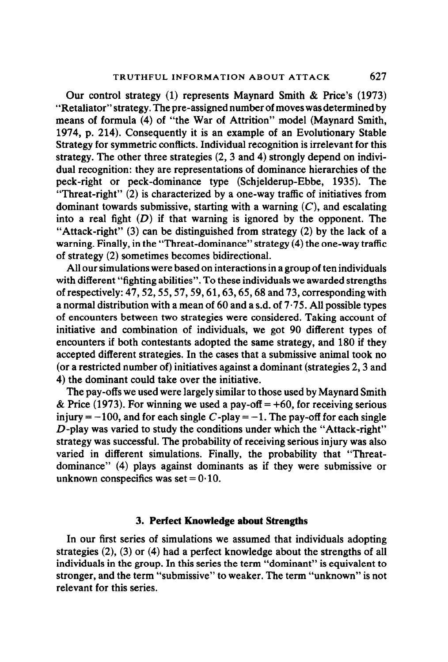Our control strategy (1) represents Maynard Smith & Price's (1973) "Retaliator" strategy. The pre-assigned number of moves was determined by means of formula (4) of "the War of Attrition" model (Maynard Smith, 1974, p. 214). Consequently it is an example of an Evolutionary Stable Strategy for symmetric conflicts. Individual recognition is irrelevant for this strategy. The other three strategies (2, 3 and 4) strongly depend on individual recognition: they are representations of dominance hierarchies of the peck-right or peck-dominance type (Schjelderup-Ebbe, 1935). The "Threat-right" (2) is characterized by a one-way traffic of initiatives from dominant towards submissive, starting with a warning  $(C)$ , and escalating into a real fight  $(D)$  if that warning is ignored by the opponent. The "Attack-right"  $(3)$  can be distinguished from strategy  $(2)$  by the lack of a warning. Finally, in the "Threat-dominance" strategy (4) the one-way traffic of strategy (2) sometimes becomes bidirectional.

All our simulations were based on interactions in a group of ten individuals with different "fighting abilities". To these individuals we awarded strengths of respectively: 47,52,55,57,59,61,63,65,68 and 73, corresponding with a normal distribution with a mean of  $60$  and a s.d. of  $7.75$ . All possible types of encounters between two strategies were considered. Taking account of initiative and combination of individuals, we got 90 different types of encounters if both contestants adopted the same strategy, and 180 if they accepted different strategies. In the cases that a submissive animal took no (or a restricted number of) initiatives against a dominant (strategies 2,3 and 4) the dominant could take over the initiative.

The pay-offs we used were largely similar to those used by Maynard Smith & Price (1973). For winning we used a pay-off  $= +60$ , for receiving serious injury  $= -100$ , and for each single C-play  $= -1$ . The pay-off for each single D-play was varied to study the conditions under which the "Attack-right" strategy was successful. The probability of receiving serious injury was also varied in different simulations. Finally, the probability that "Threatdominance" (4) plays against dominants as if they were submissive or unknown conspecifics was set =  $0.10$ .

#### 3. Perfect Knowledge about Strengths

In our first series of simulations we assumed that individuals adopting strategies (2), (3) or (4) had a perfect knowledge about the strengths of all individuals in the group. In this series the term "dominant" is equivalent to stronger, and the term "submissive" to weaker. The term "unknown" is not relevant for this series.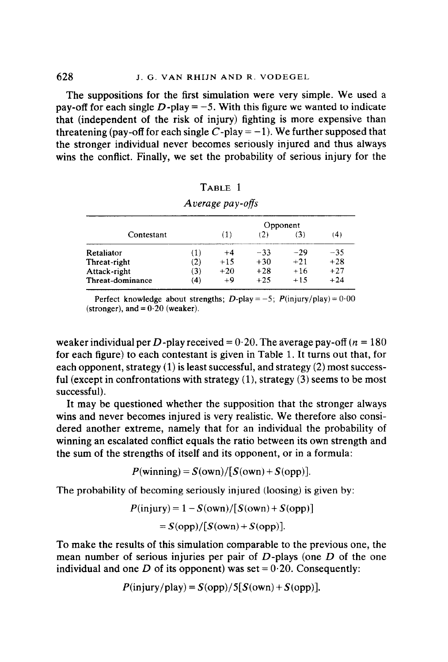The suppositions for the first simulation were very simple. We used a pay-off for each single  $D$ -play = -5. With this figure we wanted to indicate that (independent of the risk of injury) fighting is more expensive than threatening (pay-off for each single C-play  $= -1$ ). We further supposed that the stronger individual never becomes seriously injured and thus always wins the conflict. Finally, we set the probability of serious injury for the

|                  |     | Opponent |       |       |       |  |
|------------------|-----|----------|-------|-------|-------|--|
| Contestant       |     | (1)      | (2)   | (3)   | (4)   |  |
| Retaliator       | (1) | $+4$     | $-33$ | $-29$ | $-35$ |  |
| Threat-right     | (2) | $+15$    | $+30$ | $+21$ | $+28$ |  |
| Attack-right     | (3) | $+20$    | $+28$ | $+16$ | $+27$ |  |
| Threat-dominance | (4) | $+9$     | $+25$ | $+15$ | $+24$ |  |

| TABLE 1             |  |  |
|---------------------|--|--|
| $A$ varage pay-offe |  |  |

Perfect knowledge about strengths; D-play = -5;  $P(\text{injury}/\text{play}) = 0.00$ (stronger), and  $= 0.20$  (weaker).

weaker individual per D-play received =  $0.20$ . The average pay-off ( $n = 180$ ) for each figure) to each contestant is given in Table 1. It turns out that, for each opponent, strategy (1) is least successful, and strategy (2) most successful (except in confrontations with strategy  $(1)$ , strategy  $(3)$  seems to be most successful).

It may be questioned whether the supposition that the stronger always wins and never becomes injured is very realistic. We therefore also considered another extreme, namely that for an individual the probability of winning an escalated conflict equals the ratio between its own strength and the sum of the strengths of itself and its opponent, or in a formula:

 $P(\text{winning}) = S(\text{own})/[S(\text{own})+S(\text{opp})]$ .

The probability of becoming seriously injured (loosing) is given by:

$$
P(\text{injury}) = 1 - S(\text{own})/[S(\text{own}) + S(\text{opp})]
$$

$$
= S(\text{opp})/[S(\text{own}) + S(\text{opp})].
$$

To make the results of this simulation comparable to the previous one, the mean number of serious injuries per pair of  $D$ -plays (one  $D$  of the one individual and one D of its opponent) was set =  $0.20$ . Consequently:

$$
P(\text{injury}/\text{play}) = S(\text{opp})/5[S(\text{own}) + S(\text{opp})].
$$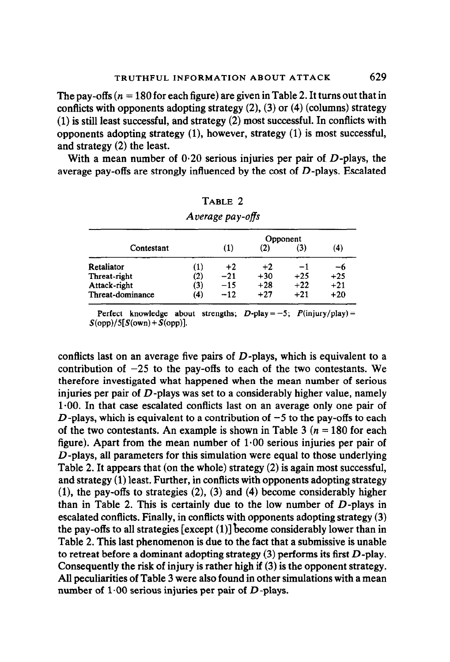The pay-offs ( $n = 180$  for each figure) are given in Table 2. It turns out that in conflicts with opponents adopting strategy  $(2)$ ,  $(3)$  or  $(4)$  (columns) strategy (1) is still least successful, and strategy (2) most successful. In conflicts with opponents adopting strategy  $(1)$ , however, strategy  $(1)$  is most successful, and strategy (2) the least.

With a mean number of  $0.20$  serious injuries per pair of  $D$ -plays, the average pay-offs are strongly influenced by the cost of  $D$ -plays. Escalated

|                  |     | Opponent |       |       |       |
|------------------|-----|----------|-------|-------|-------|
| Contestant       |     | (1)      | (2)   | (3)   | (4)   |
| Retaliator       | (1) | $+2$     | $+2$  | $-1$  | -6    |
| Threat-right     | (2) | $-21$    | $+30$ | $+25$ | $+25$ |
| Attack-right     | (3) | $-15$    | $+28$ | $+22$ | $+21$ |
| Threat-dominance | (4) | $-12$    | $+27$ | $+21$ | $+20$ |

| TABLE 2          |  |
|------------------|--|
| Average pay-offs |  |

Perfect knowledge about strengths;  $D$ -play = -5;  $P(\text{iniurv/play}) =$  $S(op)/5[S(own) + S(op)]$ .

conflicts last on an average five pairs of  $D$ -plays, which is equivalent to a contribution of  $-25$  to the pay-offs to each of the two contestants. We therefore investigated what happened when the mean number of serious injuries per pair of  $D$ -plays was set to a considerably higher value, namely 1.00. In that case escalated conflicts last on an average only one pair of D-plays, which is equivalent to a contribution of  $-5$  to the pay-offs to each of the two contestants. An example is shown in Table 3 ( $n = 180$  for each figure). Apart from the mean number of  $1.00$  serious injuries per pair of  $D$ -plays, all parameters for this simulation were equal to those underlying Table 2. It appears that (on the whole) strategy (2) is again most successful, and strategy (1) least. Further, in conflicts with opponents adopting strategy  $(1)$ , the pay-offs to strategies  $(2)$ ,  $(3)$  and  $(4)$  become considerably higher than in Table 2. This is certainly due to the low number of  $D$ -plays in escalated conflicts. Finally, in conflicts with opponents adopting strategy (3) the pay-offs to all strategies  $\lceil \csc{c} \rceil$  (1)] become considerably lower than in Table 2. This last phenomenon is due to the fact that a submissive is unable to retreat before a dominant adopting strategy  $(3)$  performs its first  $D$ -play. Consequently the risk of injury is rather high if (3) is the opponent strategy. All peculiarities of Table 3 were also found in other simulations with a mean number of  $1.00$  serious injuries per pair of  $D$ -plays.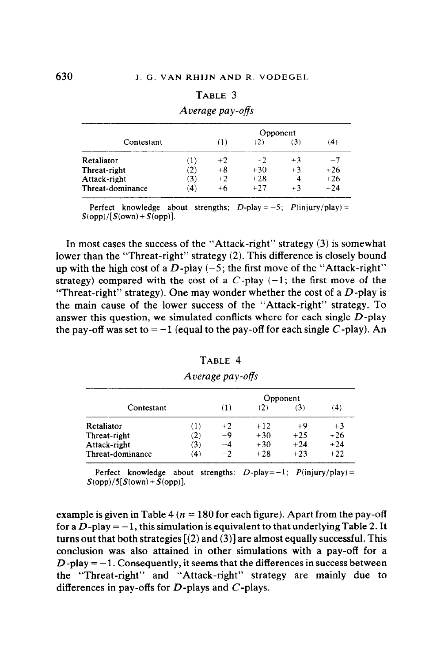#### TABLE 3

|                  |     | Opponent |       |      |       |  |
|------------------|-----|----------|-------|------|-------|--|
| Contestant       |     | (1)      |       | (3)  | (4)   |  |
| Retaliator       | (1) | $+2$     | $-2$  | $+3$ | $-7$  |  |
| Threat-right     | (2) | $+8$     | $+30$ | $+3$ | $+26$ |  |
| Attack-right     | (3) | $+2$     | $+28$ | $-4$ | $+26$ |  |
| Threat-dominance | (4) | $+6$     | $+27$ | $+3$ | $+24$ |  |

#### Average pay-offs

Perfect knowledge about strengths;  $D$ -play = -5;  $P$ (injury/play) =  $S(opp)/[S(own) + S(opp)].$ 

In most cases the success of the "Attack-right" strategy (3) is somewhat lower than the "Threat-right" strategy (2). This difference is closely bound up with the high cost of a  $D$ -play  $(-5)$ ; the first move of the "Attack-right" strategy) compared with the cost of a  $C$ -play  $(-1)$ ; the first move of the "Threat-right" strategy). One may wonder whether the cost of a  $D$ -play is the main cause of the lower success of the "Attack-right" strategy. To answer this question, we simulated conflicts where for each single  $D$ -play the pay-off was set to  $=-1$  (equal to the pay-off for each single C-play). An

|--|--|

|                  |     | Opponent |       |       |       |  |
|------------------|-----|----------|-------|-------|-------|--|
| Contestant       |     | (1)      | 12)   | (3)   | (4)   |  |
| Retaliator       | (1) | $+2$     | $+12$ | $+9$  | $+3$  |  |
| Threat-right     | (2) | -9       | $+30$ | $+25$ | $+26$ |  |
| Attack-right     | (3) | -- 4     | $+30$ | $+24$ | $+24$ |  |
| Threat-dominance | (4) | $-2$     | $+28$ | $+23$ | $+22$ |  |

Average pay-offs

Perfect knowledge about strengths:  $D$ -play=-1;  $P(\text{injury}/\text{play}) =$  $S(opp)/5[S(own) + S(opp)].$ 

example is given in Table 4 ( $n = 180$  for each figure). Apart from the pay-off for a  $D$ -play  $=-1$ , this simulation is equivalent to that underlying Table 2. It turns out that both strategies  $[(2)$  and  $(3)]$  are almost equally successful. This conclusion was also attained in other simulations with a pay-off for a  $D$ -play  $= -1$ . Consequently, it seems that the differences in success between the "Threat-right" and "Attack-right" strategy are mainly due to differences in pay-offs for  $D$ -plays and  $C$ -plays.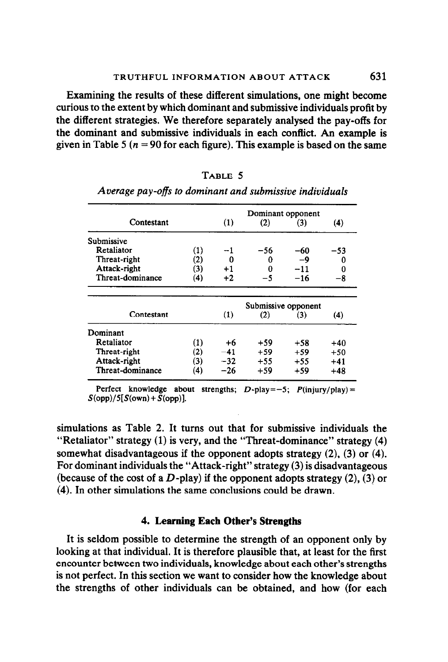Examining the results of these different simulations, one might become curious to the extent by which dominant and submissive individuals profit by the different strategies. We therefore separately analysed the pay-offs for the dominant and submissive individuals in each conflict. An example is given in Table 5 ( $n = 90$  for each figure). This example is based on the same

|                  |                     | Dominant opponent |       |       |       |
|------------------|---------------------|-------------------|-------|-------|-------|
| Contestant       |                     | (1)               | (2)   | (3)   | (4)   |
| Submissive       |                     |                   |       |       |       |
| Retaliator       | (1)                 |                   | -56   | -60   | -53   |
| Threat-right     | (2)                 | Ω                 | 0     | -9    | 0     |
| Attack-right     | (3)                 | $+1$              | 0     | $-11$ | 0     |
| Threat-dominance | (4)                 | $+2$              | -5    | $-16$ | -8    |
|                  |                     |                   |       |       |       |
|                  | Submissive opponent |                   |       |       |       |
| Contestant       |                     | (1)               | (2)   | (3)   | (4)   |
| Dominant         |                     |                   |       |       |       |
| Retaliator       | (1)                 | $+6$              | $+59$ | $+58$ | $+40$ |
| Threat-right     | (2)                 | $-41$             | $+59$ | $+59$ | $+50$ |
| Attack-right     | (3)                 | $-32$             | $+55$ | $+55$ | $+41$ |
| Threat-dominance | $\left( 4\right)$   | $-26$             | $+59$ | $+59$ | $+48$ |
|                  |                     |                   |       |       |       |

TABLE 5 Average pay-offs to dominant and submissive individuals

Perfect knowledge about strengths;  $D$ -play=-5;  $P(\text{injury}/\text{play}) =$  $S(op)/5[S(own) + S(op)]$ .

simulations as Table 2. It turns out that for submissive individuals the "Retaliator" strategy (1) is very, and the "Threat-dominance" strategy (4) somewhat disadvantageous if the opponent adopts strategy (2), (3) or (4). For dominant individuals the "Attack-right" strategy (3) is disadvantageous (because of the cost of a  $D$ -play) if the opponent adopts strategy (2), (3) or (4). In other simulations the same conclusions could be drawn.

#### 4. Leaning Each Other's Strengths

It is seldom possible to determine the strength of an opponent only by looking at that individual. It is therefore plausible that, at least for the first encounter between two individuals, knowledge about each other's strengths is not perfect. In this section we want to consider how the knowledge about the strengths of other individuals can be obtained, and how (for each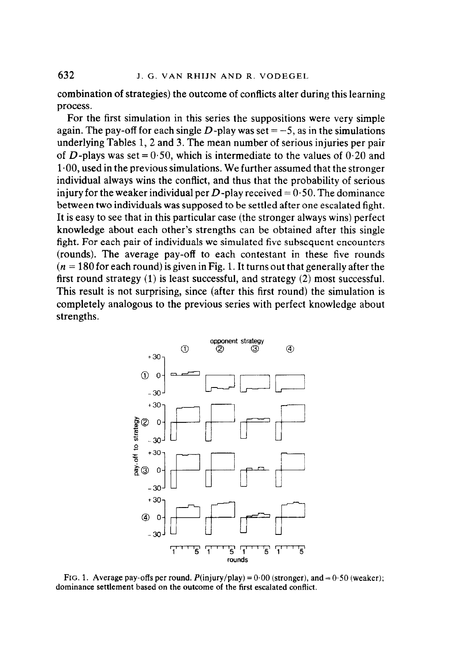combination of strategies) the outcome of conflicts alter during this learning process.

For the first simulation in this series the suppositions were very simple again. The pay-off for each single  $D$ -play was set = -5, as in the simulations underlying Tables 1, 2 and 3. The mean number of serious injuries per pair of D-plays was set =  $0.50$ , which is intermediate to the values of  $0.20$  and  $1.00$ , used in the previous simulations. We further assumed that the stronger individual always wins the conflict, and thus that the probability of serious injury for the weaker individual per D-play received  $= 0.50$ . The dominance between two individuals was supposed to be settled after one escalated fight. It is easy to see that in this particular case (the stronger always wins) perfect knowledge about each other's strengths can be obtained after this single fight. For each pair of individuals we simulated five subsequent encounters (rounds). The average pay-off to each contestant in these five rounds  $(n = 180$  for each round) is given in Fig. 1. It turns out that generally after the first round strategy (1) is least successful, and strategy (2) most successful. This result is not surprising, since (after this first round) the simulation is completely analogous to the previous series with perfect knowledge about strengths.



FIG. 1. Average pay-offs per round.  $P(\text{injury/play}) = 0.00$  (stronger), and = 0.50 (weaker); dominance settlement based on the outcome of the first escalated conflict.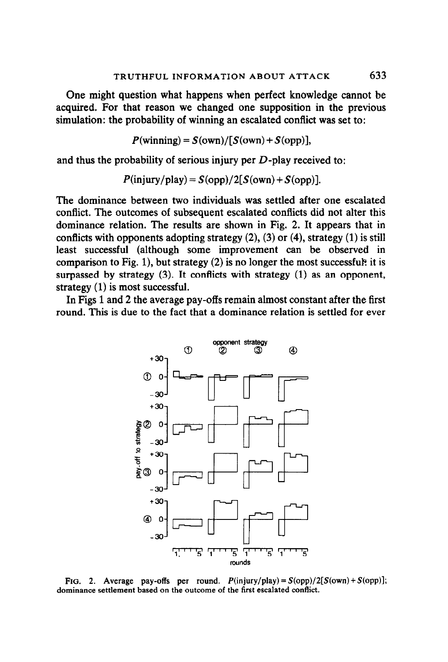One might question what happens when perfect knowledge cannot be acquired. For that reason we changed one supposition in the previous simulation: the probability of winning an escalated conflict was set to:

$$
P(\text{winning}) = S(\text{own})/[S(\text{own}) + S(\text{opp})],
$$

and thus the probability of serious injury per  $D$ -play received to:

$$
P(\text{injury}/\text{play}) = S(\text{opp})/2[S(\text{own}) + S(\text{opp})].
$$

The dominance between two individuals was settled after one escalated conflict. The outcomes of subsequent escalated conflicts did not alter this dominance relation. The results are shown in Fig. 2. It appears that in conflicts with opponents adopting strategy  $(2)$ ,  $(3)$  or  $(4)$ , strategy  $(1)$  is still least successful (although some improvement can be observed in comparison to Fig. 1), but strategy  $(2)$  is no longer the most successful? it is surpassed by strategy  $(3)$ . It conflicts with strategy  $(1)$  as an opponent, strategy (1) is most successful.

In Figs 1 and 2 the average pay-offs remain almost constant after the first round. This is due to the fact that a dominance relation is settled for ever



FIG. 2. Average pay-offs per round.  $P(\text{injury/play}) = S(\text{opp})/2[S(\text{own}) + S(\text{opp})];$ dominance settlement based on the outcome of the first escalated conflict.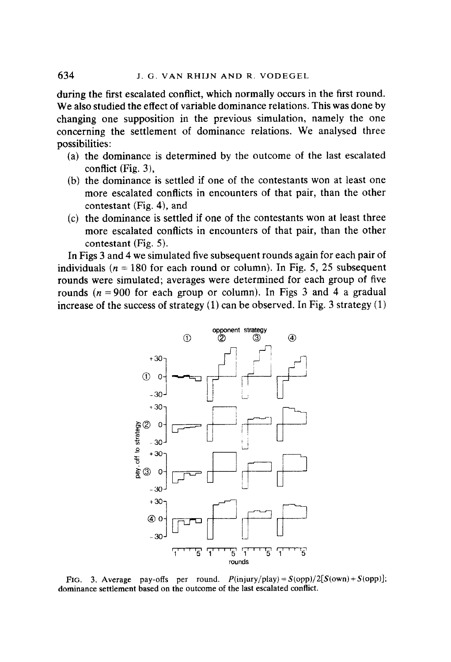during the first escalated conflict, which normally occurs in the first round. We also studied the effect of variable dominance relations. This was done by changing one supposition in the previous simulation, namely the one concerning the settlement of dominance relations. We analysed three possibilities:

- (a) the dominance is determined by the outcome of the last escalated conflict (Fig. 3),
- (b) the dominance is settled if one of the contestants won at least one more escalated conflicts in encounters of that pair, than the other contestant (Fig. 4), and
- (c) the dominance is settled if one of the contestants won at least three more escalated conflicts in encounters of that pair, than the other contestant (Fig. 5).

In Figs 3 and 4 we simulated five subsequent rounds again for each pair of individuals ( $n = 180$  for each round or column). In Fig. 5, 25 subsequent rounds were simulated; averages were determined for each group of five rounds ( $n = 900$  for each group or column). In Figs 3 and 4 a gradual increase of the success of strategy  $(1)$  can be observed. In Fig. 3 strategy  $(1)$ 



FIG. 3. Average pay-offs per round.  $P(\text{injury/play}) = S(\text{opp})/2[S(\text{own}) + S(\text{opp})];$ dominance settlement based on the outcome of the last escalated conflict.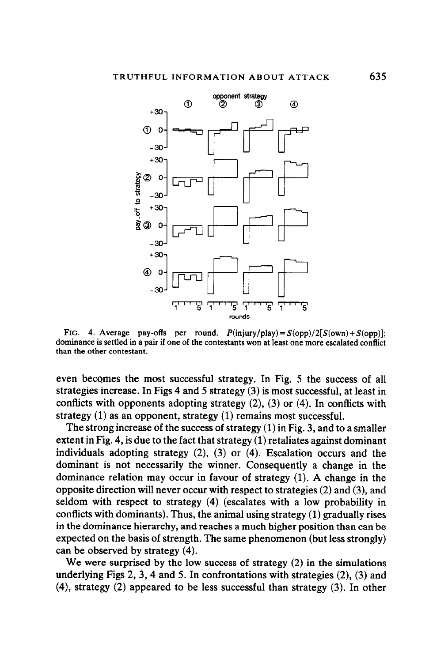

FIG. 4. Average pay-offs per round.  $P(\text{injury}/\text{play}) = S(\text{opp})/2[S(\text{own}) + S(\text{opp})]$ ; dominance is settled in a pair if one of the contestants won at least one more escalated conflict than the other contestant.

even becomes the most successful strategy. In Fig. 5 the success of all strategies increase. In Figs 4 and 5 strategy (3) is most successful, at least in conflicts with opponents adopting strategy (2), (3) or (4). In conflicts with strategy (1) as an opponent, strategy (1) remains most successful.

The strong increase of the success of strategy (1) in Fig. 3, and to a smaller extent in Fig. 4, is due to the fact that strategy (1) retaliates against dominant individuals adopting strategy (2), (3) or (4). Escalation occurs and the dominant is not necessarily the winner. Consequently a change in the dominance relation may occur in favour of strategy (1). A change in the opposite direction will never occur with respect to strategies (2) and (3), and seldom with respect to strategy (4) (escalates with a low probability in conflicts with dominants). Thus, the animal using strategy (1) gradually rises in the dominance hierarchy, and reaches a much higher position than can be expected on the basis of strength. The same phenomenon (but less strongly) can be observed by strategy (4).

We were surprised by the low success of strategy (2) in the simulations underlying Figs 2, 3, 4 and 5. In confrontations with strategies  $(2)$ ,  $(3)$  and (4), strategy (2) appeared to be less successful than strategy (3). In other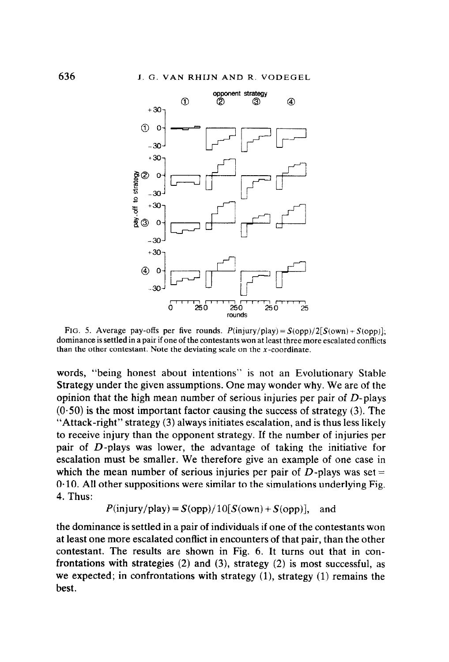

FIG. 5. Average pay-offs per five rounds.  $P(\text{injury}/\text{play}) = S(\text{opp})/2[S(\text{own}) + S(\text{opp})]$ ; dominance is settled in a pair if one of the contestants won at least three more escalated conflicts than the other contestant. Note the deviating scale on the  $x$ -coordinate.

words, "being honest about intentions" is not an Evolutionary Stable Strategy under the given assumptions. One may wonder why. We are of the opinion that the high mean number of serious injuries per pair of D-plays  $(0.50)$  is the most important factor causing the success of strategy (3). The "Attack-right" strategy (3) always initiates escalation, and is thus less likely to receive injury than the opponent strategy. If the number of injuries per pair of D-plays was lower, the advantage of taking the initiative for escalation must be smaller. We therefore give an example of one case in which the mean number of serious injuries per pair of  $D$ -plays was set =  $0.10$ . All other suppositions were similar to the simulations underlying Fig. 4. Thus:

$$
P(\text{injury}/\text{play}) = S(\text{opp})/10[S(\text{own}) + S(\text{opp})],
$$
 and

the dominance is settled in a pair of individuals if one of the contestants won at least one more escalated conflict in encounters of that pair, than the other contestant. The results are shown in Fig. 6. It turns out that in confrontations with strategies  $(2)$  and  $(3)$ , strategy  $(2)$  is most successful, as we expected; in confrontations with strategy  $(1)$ , strategy  $(1)$  remains the best.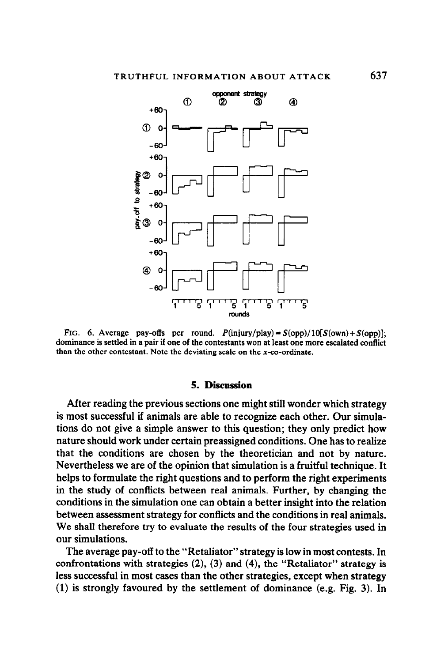

FIG. 6. Average pay-offs per round.  $P(\text{injury}/\text{play}) = S(\text{opp})/10[S(\text{own})+S(\text{opp})]$ ; dominance is settled in a pair if one of the contestants won at least one more escalated conflict than the other contestant. Note the deviating scale on the  $x$ -co-ordinate.

#### 5. Discussion

After reading the previous sections one might still wonder which strategy is most successful if animals are able to recognize each other. Our simulations do not give a simple answer to this question; they only predict how nature should work under certain preassigned conditions. One has to realize that the conditions are chosen by the theoretician and not by nature. Nevertheless we are of the opinion that simulation is a fruitful technique. It helps to formulate the right questions and to perform the right experiments in the study of conflicts between real animals. Further, by changing the conditions in the simulation one can obtain a better insight into the relation between assessment strategy for conflicts and the conditions in real animals. We shall therefore try to evaluate the results of the four strategies used in our simulations.

The average pay-off to the "Retaliator" strategy is low in most contests. In confrontations with strategies  $(2)$ ,  $(3)$  and  $(4)$ , the "Retaliator" strategy is less successful in most cases than the other strategies, except when strategy (1) is strongly favoured by the settlement of dominance (e.g. Fig. 3). In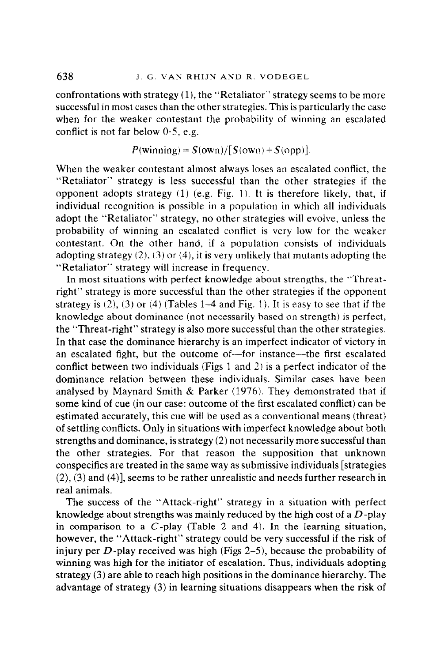confrontations with strategy  $(1)$ , the "Retaliator" strategy seems to be more successful in most cases than the other strategies. This is particularly the case when for the weaker contestant the probability of winning an escalated conflict is not far below  $0.5$ , e.g.

$$
P(\text{winning}) = S(\text{own})/[S(\text{own}) + S(\text{opp})].
$$

When the weaker contestant almost always loses an escalated conflict, the "Retaliator" strategy is less successful than the other strategies if the opponent adopts strategy  $(1)$  (e.g. Fig. 1). It is therefore likely, that, if individual recognition is possible in a population in which all individuals adopt the "Retaliator" strategy, no other strategies will evoive, unless the probability of winning an escalated conflict is very low for the weaker contestant. On the other hand, if a population consists of individuals adopting strategy  $(2)$ ,  $(3)$  or  $(4)$ , it is very unlikely that mutants adopting the "Retaliator" strategy will increase in frequency.

In most situations with perfect knowledge about strengths, the "Threatright" strategy is more successful than the other strategies if the opponent strategy is  $(2)$ ,  $(3)$  or  $(4)$  (Tables 1-4 and Fig. 1). It is easy to see that if the knowledge about dominance (not necessarily based on strength) is perfect, the "Threat-right" strategy is also more successful than the other strategies. In that case the dominance hierarchy is an imperfect indicator of victory in an escalated fight, but the outcome of-for instance-the first escalated conflict between two individuals (Figs 1 and 2) is a perfect indicator of the dominance relation between these individuals. Similar cases have been analysed by Maynard Smith & Parker (1976). They demonstrated that if some kind of cue (in our case: outcome of the first escalated conflict) can be estimated accurately, this cue will be used as a conventional means (threat) of settling conflicts. Only in situations with imperfect knowledge about both strengths and dominance, is strategy (2) not necessarily more successful than the other strategies. For that reason the supposition that unknown conspecifics are treated in the same way as submissive individuals [strategies  $(2)$ ,  $(3)$  and  $(4)$ , seems to be rather unrealistic and needs further research in real animals.

The success of the "Attack-right" strategy in a situation with perfect knowledge about strengths was mainly reduced by the high cost of a D-play in comparison to a  $C$ -play (Table 2 and 4). In the learning situation, however, the "Attack-right" strategy could be very successful if the risk of injury per  $D$ -play received was high (Figs 2-5), because the probability of winning was high for the initiator of escalation. Thus, individuals adopting strategy  $(3)$  are able to reach high positions in the dominance hierarchy. The advantage of strategy (3) in learning situations disappears when the risk of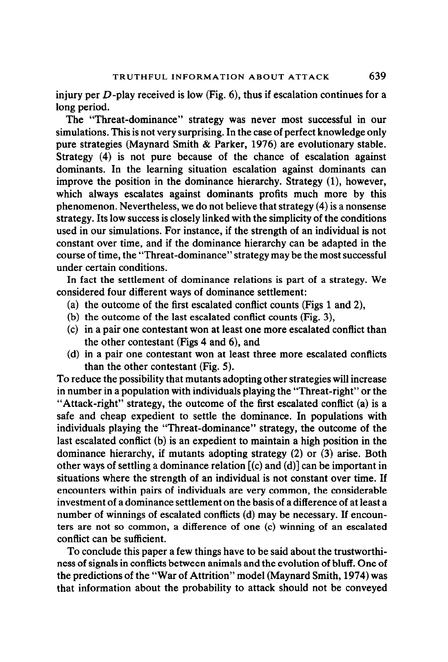injury per  $D$ -play received is low (Fig. 6), thus if escalation continues for a long period.

The "Threat-dominance" strategy was never most successful in our simulations. This is not very surprising. In the case of perfect knowledge only pure strategies (Maynard Smith & Parker, 1976) are evolutionary stable. Strategy (4) is not pure because of the chance of escalation against dominants. In the learning situation escalation against dominants can improve the position in the dominance hierarchy. Strategy (1), however, which always escalates against dominants profits much more by this phenomenon. Nevertheless, we do not believe that strategy (4) is a nonsense strategy. Its low success is closely linked with the simplicity of the conditions used in our simulations. For instance, if the strength of an individual is not constant over time, and if the dominance hierarchy can be adapted in the course of time, the "Threat-dominance" strategy may be the most successful under certain conditions.

In fact the settlement of dominance relations is part of a strategy. We considered four different ways of dominance settlement:

- (a) the outcome of the first escalated conflict counts (Figs 1 and 2),
- (b) the outcome of the last escalated conflict counts (Fig. 3),
- (c) in a pair one contestant won at least one more escalated conflict than the other contestant (Figs 4 and 6), and
- (d) in a pair one contestant won at least three more escalated conflicts than the other contestant (Fig. 5).

To reduce the possibility that mutants adopting other strategies will increase in number in a population with individuals playing the "Threat-right" or the "Attack-right" strategy, the outcome of the first escalated conflict (a) is a safe and cheap expedient to settle the dominance. In populations with individuals playing the "Threat-dominance" strategy, the outcome of the last escalated conflict (b) is an expedient to maintain a high position in the dominance hierarchy, if mutants adopting strategy (2) or (3) arise. Both other ways of settling a dominance relation  $[(c)$  and  $(d)]$  can be important in situations where the strength of an individual is not constant over time. If encounters within pairs of individuals are very common, the considerable investment of a dominance settlement on the basis of a difference of at least a number of winnings of escalated conflicts (d) may be necessary. If encounters are not so common, a difference of one (c) winning of an escalated conflict can be sufficient.

To conclude this paper a few things have to be said about the trustworthiness of signals in conflicts between animals and the evolution of bluff. One of the predictions of the "War of Attrition" model (Maynard Smith, 1974) was that information about the probability to attack should not be conveyed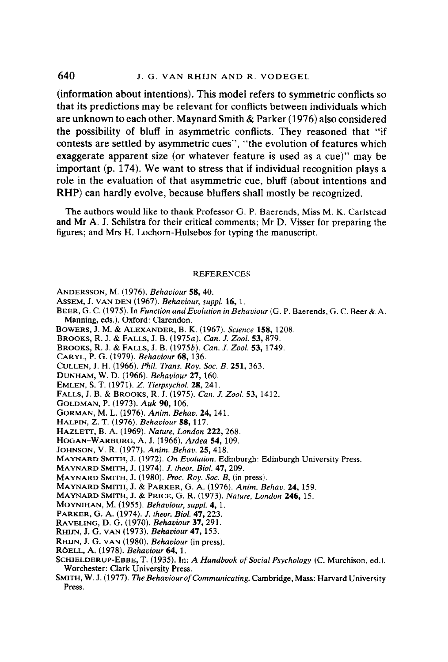(information about intentions). This model refers to symmetric conflicts so that its predictions may be relevant for conflicts between individuals which are unknown to each other. Maynard Smith & Parker (1976) also considered the possibility of bluff in asymmetric conflicts. They reasoned that "if contests are settled by asymmetric cues", "the evolution of features which exaggerate apparent size (or whatever feature is used as a cue)" may be important (p. 174). We want to stress that if individual recognition plays a role in the evaluation of that asymmetric cue, bluff (about intentions and RHP) can hardly evolve, because bluffers shall mostly be recognized.

The authors would like to thank Professor G. P. Baerends, Miss M. K. Carlstead and Mr A. J. Schilstra for their critical comments; Mr D. Visser for preparing the figures; and Mrs H. Lochorn-Hulsebos for typing the manuscript.

#### **REFERENCES**

- ANDERSSON, M. (1976). Behaviour 58, 40.
- ASSEM, J. VAN DEN (1967). Behaviour, suppl. 16, 1.
- BEER, G. C. (1975). In Function and Evolution in Behaviour (G. P. Baerends, G. C. Beer & A. Manning, eds.). Oxford: Clarendon.
- BOWERS, J. M. & ALEXANDER, B. K. (1967). Science 158, 1208.
- BROOKS, R. J. & FALLS, J. B. (1975a). Can. J. Zool. 53, 879.
- BROOKS, R. J. & FALLS, J. B. (1975b). Can. J. Zool. 53,1749.
- CARYL, P. G. (1979). Behaviour 68, 136.
- CULLEN, J. H. (1966). Phil. Trans. Roy. Soc. B. 251, 363.
- DUNHAM, W. D. (1966). Behaviour 27,160.
- EMLEN, S. T. (1971). Z. Tierpsychol. 28,241.
- FALLS, J. B. & BROOKS, R. J. (1975). Can. J. Zool. 53, 1412.
- GOLDMAN, P. (1973). Auk 90, 106.
- GORMAN, M. L. (1976). Anim. Behav. 24,141.
- HALPIN, Z. T. (1976). Behaviour 58, 117.
- HAZLETT, B. A. (1969). Nature, London 222, 268.
- HOGAN-WARBURG, A. J. (1966). Ardea 54,109.
- JOHNSON, V. R. (1977). Anim. Behav. 25,418.
- MAYNARD SMITH, J. (1972). On Evolution. Edinburgh: Edinburgh University Press.
- MAYNARD SMITH, J. (1974). J. theor. Biol. 47.209.
- MAYNARD SMITH, J. (1980). Proc. Roy. Soc. B, (in press).
- MAYNARD SMITH, J. & PARKER, G. A. (1976). Anim. Behav. 24,159.
- MAYNARD SMITH, J. & PRICE, G. R. (1973). Nature, London 246, 15.
- MOYNIHAN, M. (1955). Behaviour, suppl. 4, 1.
- PARKER, G. A. (1974). J. theor. Biol. 47, 223.
- RAVELING, D. G. (1970). Behaviour 37,291.
- RHIJN, J. G. VAN (1973). Behaviour 47, 153.
- RHIJN, J. G. VAN (1980). Behaviour (in press).
- RÖELL, A. (1978). Behaviour 64, 1.
- SCHJELDERUP-EBBE, T. (1935). In: A Handbook of Social Psychology (C. Murchison, ed.). Worchester: Clark University Press.
- SMITH, W. J. (1977). The Behaviour of Communicating. Cambridge, Mass: Harvard University Press.